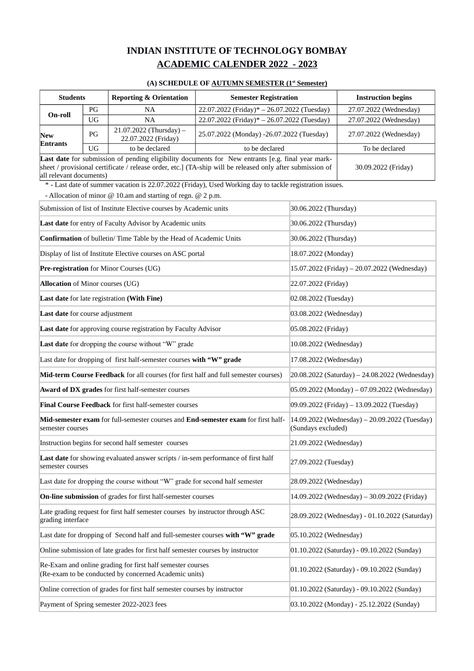# **INDIAN INSTITUTE OF TECHNOLOGY BOMBAY ACADEMIC CALENDER 2022 - 2023**

#### **(A) SCHEDULE OF AUTUMN SEMESTER (1st Semester)**

|                                                                                                                                                                                                                                           | <b>Reporting &amp; Orientation</b><br><b>Students</b><br><b>Semester Registration</b>                                                                    |                                                                                   | <b>Instruction begins</b>                                                                                |                                             |                                                |  |
|-------------------------------------------------------------------------------------------------------------------------------------------------------------------------------------------------------------------------------------------|----------------------------------------------------------------------------------------------------------------------------------------------------------|-----------------------------------------------------------------------------------|----------------------------------------------------------------------------------------------------------|---------------------------------------------|------------------------------------------------|--|
| On-roll                                                                                                                                                                                                                                   | PG                                                                                                                                                       | <b>NA</b>                                                                         | 22.07.2022 (Friday)* - 26.07.2022 (Tuesday)                                                              |                                             | 27.07.2022 (Wednesday)                         |  |
|                                                                                                                                                                                                                                           | <b>UG</b>                                                                                                                                                | <b>NA</b>                                                                         | 22.07.2022 (Friday)* - 26.07.2022 (Tuesday)                                                              |                                             | 27.07.2022 (Wednesday)                         |  |
| New<br>Entrants                                                                                                                                                                                                                           | PG                                                                                                                                                       | $21.07.2022$ (Thursday) -<br>22.07.2022 (Friday)                                  | 25.07.2022 (Monday) -26.07.2022 (Tuesday)                                                                |                                             | 27.07.2022 (Wednesday)                         |  |
|                                                                                                                                                                                                                                           | UG                                                                                                                                                       | to be declared                                                                    | to be declared                                                                                           |                                             | To be declared                                 |  |
| Last date for submission of pending eligibility documents for New entrants [e.g. final year mark-<br>sheet / provisional certificate / release order, etc.] (TA-ship will be released only after submission of<br>all relevant documents) |                                                                                                                                                          |                                                                                   |                                                                                                          |                                             | 30.09.2022 (Friday)                            |  |
|                                                                                                                                                                                                                                           |                                                                                                                                                          | - Allocation of minor $@$ 10.am and starting of regn. $@$ 2 p.m.                  | * - Last date of summer vacation is 22.07.2022 (Friday), Used Working day to tackle registration issues. |                                             |                                                |  |
|                                                                                                                                                                                                                                           |                                                                                                                                                          | Submission of list of Institute Elective courses by Academic units                |                                                                                                          | 30.06.2022 (Thursday)                       |                                                |  |
|                                                                                                                                                                                                                                           |                                                                                                                                                          | Last date for entry of Faculty Advisor by Academic units                          |                                                                                                          | 30.06.2022 (Thursday)                       |                                                |  |
|                                                                                                                                                                                                                                           |                                                                                                                                                          | Confirmation of bulletin/ Time Table by the Head of Academic Units                |                                                                                                          | 30.06.2022 (Thursday)                       |                                                |  |
|                                                                                                                                                                                                                                           |                                                                                                                                                          | Display of list of Institute Elective courses on ASC portal                       |                                                                                                          | 18.07.2022 (Monday)                         |                                                |  |
|                                                                                                                                                                                                                                           |                                                                                                                                                          | Pre-registration for Minor Courses (UG)                                           |                                                                                                          |                                             | 15.07.2022 (Friday) - 20.07.2022 (Wednesday)   |  |
| Allocation of Minor courses (UG)                                                                                                                                                                                                          |                                                                                                                                                          |                                                                                   |                                                                                                          | 22.07.2022 (Friday)                         |                                                |  |
|                                                                                                                                                                                                                                           |                                                                                                                                                          | Last date for late registration (With Fine)                                       |                                                                                                          | 02.08.2022 (Tuesday)                        |                                                |  |
| Last date for course adjustment                                                                                                                                                                                                           |                                                                                                                                                          |                                                                                   |                                                                                                          |                                             | 03.08.2022 (Wednesday)                         |  |
|                                                                                                                                                                                                                                           |                                                                                                                                                          | Last date for approving course registration by Faculty Advisor                    |                                                                                                          | 05.08.2022 (Friday)                         |                                                |  |
|                                                                                                                                                                                                                                           |                                                                                                                                                          | Last date for dropping the course without "W" grade                               |                                                                                                          | 10.08.2022 (Wednesday)                      |                                                |  |
|                                                                                                                                                                                                                                           |                                                                                                                                                          | Last date for dropping of first half-semester courses with "W" grade              |                                                                                                          | 17.08.2022 (Wednesday)                      |                                                |  |
|                                                                                                                                                                                                                                           |                                                                                                                                                          |                                                                                   | Mid-term Course Feedback for all courses (for first half and full semester courses)                      |                                             | 20.08.2022 (Saturday) - 24.08.2022 (Wednesday) |  |
|                                                                                                                                                                                                                                           |                                                                                                                                                          | Award of DX grades for first half-semester courses                                |                                                                                                          |                                             | 05.09.2022 (Monday) - 07.09.2022 (Wednesday)   |  |
|                                                                                                                                                                                                                                           |                                                                                                                                                          | Final Course Feedback for first half-semester courses                             |                                                                                                          |                                             | 09.09.2022 (Friday) - 13.09.2022 (Tuesday)     |  |
| semester courses                                                                                                                                                                                                                          | Mid-semester exam for full-semester courses and End-semester exam for first half-<br>14.09.2022 (Wednesday) - 20.09.2022 (Tuesday)<br>(Sundays excluded) |                                                                                   |                                                                                                          |                                             |                                                |  |
|                                                                                                                                                                                                                                           |                                                                                                                                                          | Instruction begins for second half semester courses                               |                                                                                                          | 21.09.2022 (Wednesday)                      |                                                |  |
| semester courses                                                                                                                                                                                                                          |                                                                                                                                                          | Last date for showing evaluated answer scripts / in-sem performance of first half |                                                                                                          | 27.09.2022 (Tuesday)                        |                                                |  |
|                                                                                                                                                                                                                                           |                                                                                                                                                          | Last date for dropping the course without "W" grade for second half semester      |                                                                                                          | 28.09.2022 (Wednesday)                      |                                                |  |
|                                                                                                                                                                                                                                           |                                                                                                                                                          | On-line submission of grades for first half-semester courses                      |                                                                                                          |                                             | 14.09.2022 (Wednesday) – 30.09.2022 (Friday)   |  |
| Late grading request for first half semester courses by instructor through ASC<br>grading interface                                                                                                                                       |                                                                                                                                                          | 28.09.2022 (Wednesday) - 01.10.2022 (Saturday)                                    |                                                                                                          |                                             |                                                |  |
| Last date for dropping of Second half and full-semester courses with "W" grade                                                                                                                                                            |                                                                                                                                                          | 05.10.2022 (Wednesday)                                                            |                                                                                                          |                                             |                                                |  |
| Online submission of late grades for first half semester courses by instructor                                                                                                                                                            |                                                                                                                                                          |                                                                                   |                                                                                                          | 01.10.2022 (Saturday) - 09.10.2022 (Sunday) |                                                |  |
| Re-Exam and online grading for first half semester courses<br>01.10.2022 (Saturday) - 09.10.2022 (Sunday)<br>(Re-exam to be conducted by concerned Academic units)                                                                        |                                                                                                                                                          |                                                                                   |                                                                                                          |                                             |                                                |  |
|                                                                                                                                                                                                                                           |                                                                                                                                                          | Online correction of grades for first half semester courses by instructor         |                                                                                                          |                                             | 01.10.2022 (Saturday) - 09.10.2022 (Sunday)    |  |
| Payment of Spring semester 2022-2023 fees                                                                                                                                                                                                 |                                                                                                                                                          |                                                                                   |                                                                                                          |                                             | 03.10.2022 (Monday) - 25.12.2022 (Sunday)      |  |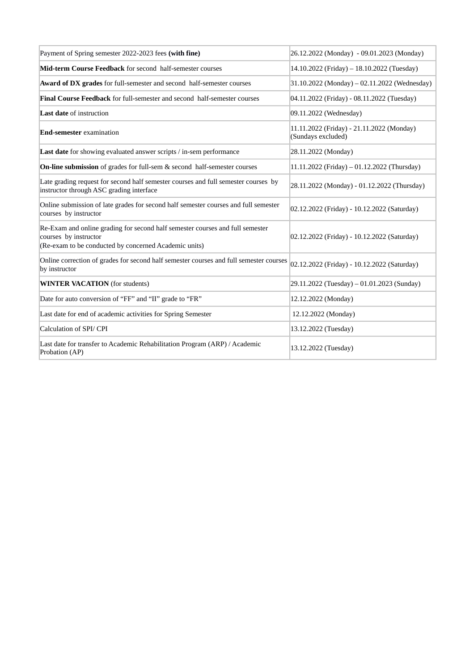| Payment of Spring semester 2022-2023 fees (with fine)                                                                                                           | 26.12.2022 (Monday) - 09.01.2023 (Monday)                       |
|-----------------------------------------------------------------------------------------------------------------------------------------------------------------|-----------------------------------------------------------------|
| Mid-term Course Feedback for second half-semester courses                                                                                                       | 14.10.2022 (Friday) - 18.10.2022 (Tuesday)                      |
| Award of DX grades for full-semester and second half-semester courses                                                                                           | 31.10.2022 (Monday) – 02.11.2022 (Wednesday)                    |
| <b>Final Course Feedback</b> for full-semester and second half-semester courses                                                                                 | 04.11.2022 (Friday) - 08.11.2022 (Tuesday)                      |
| <b>Last date of instruction</b>                                                                                                                                 | 09.11.2022 (Wednesday)                                          |
| End-semester examination                                                                                                                                        | 11.11.2022 (Friday) - 21.11.2022 (Monday)<br>(Sundays excluded) |
| Last date for showing evaluated answer scripts / in-sem performance                                                                                             | 28.11.2022 (Monday)                                             |
| On-line submission of grades for full-sem & second half-semester courses                                                                                        | 11.11.2022 (Friday) - 01.12.2022 (Thursday)                     |
| Late grading request for second half semester courses and full semester courses by<br>instructor through ASC grading interface                                  | 28.11.2022 (Monday) - 01.12.2022 (Thursday)                     |
| Online submission of late grades for second half semester courses and full semester<br>courses by instructor                                                    | 02.12.2022 (Friday) - 10.12.2022 (Saturday)                     |
| Re-Exam and online grading for second half semester courses and full semester<br>courses by instructor<br>(Re-exam to be conducted by concerned Academic units) | 02.12.2022 (Friday) - 10.12.2022 (Saturday)                     |
| Online correction of grades for second half semester courses and full semester courses<br>by instructor                                                         | 02.12.2022 (Friday) - 10.12.2022 (Saturday)                     |
| <b>WINTER VACATION</b> (for students)                                                                                                                           | 29.11.2022 (Tuesday) - 01.01.2023 (Sunday)                      |
| Date for auto conversion of "FF" and "II" grade to "FR"                                                                                                         | 12.12.2022 (Monday)                                             |
| Last date for end of academic activities for Spring Semester                                                                                                    | 12.12.2022 (Monday)                                             |
| Calculation of SPI/ CPI                                                                                                                                         | 13.12.2022 (Tuesday)                                            |
| Last date for transfer to Academic Rehabilitation Program (ARP) / Academic<br>Probation (AP)                                                                    | 13.12.2022 (Tuesday)                                            |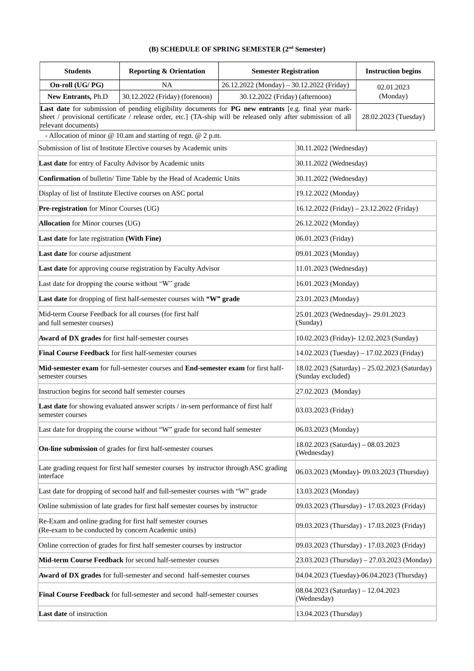## **(B) SCHEDULE OF SPRING SEMESTER (2nd Semester)**

| <b>Students</b>                                                                                                                                                                                                                              | <b>Reporting &amp; Orientation</b>                                                     | <b>Semester Registration</b>              |                                                   | <b>Instruction begins</b>                     |
|----------------------------------------------------------------------------------------------------------------------------------------------------------------------------------------------------------------------------------------------|----------------------------------------------------------------------------------------|-------------------------------------------|---------------------------------------------------|-----------------------------------------------|
| On-roll (UG/PG)                                                                                                                                                                                                                              | <b>NA</b>                                                                              | 26.12.2022 (Monday) - 30.12.2022 (Friday) |                                                   | 02.01.2023                                    |
| New Entrants, Ph.D                                                                                                                                                                                                                           | 30.12.2022 (Friday) (forenoon)                                                         | 30.12.2022 (Friday) (afternoon)           |                                                   | (Monday)                                      |
| Last date for submission of pending eligibility documents for PG new entrants [e.g. final year mark-<br>sheet / provisional certificate / release order, etc.] (TA-ship will be released only after submission of all<br>relevant documents) |                                                                                        |                                           |                                                   | 28.02.2023 (Tuesday)                          |
|                                                                                                                                                                                                                                              | - Allocation of minor $@$ 10.am and starting of regn. $@$ 2 p.m.                       |                                           |                                                   |                                               |
|                                                                                                                                                                                                                                              | Submission of list of Institute Elective courses by Academic units                     | 30.11.2022 (Wednesday)                    |                                                   |                                               |
|                                                                                                                                                                                                                                              | Last date for entry of Faculty Advisor by Academic units                               |                                           | 30.11.2022 (Wednesday)                            |                                               |
|                                                                                                                                                                                                                                              | Confirmation of bulletin/ Time Table by the Head of Academic Units                     |                                           | 30.11.2022 (Wednesday)                            |                                               |
|                                                                                                                                                                                                                                              | Display of list of Institute Elective courses on ASC portal                            |                                           | 19.12.2022 (Monday)                               |                                               |
| Pre-registration for Minor Courses (UG)                                                                                                                                                                                                      |                                                                                        |                                           |                                                   | 16.12.2022 (Friday) - 23.12.2022 (Friday)     |
| Allocation for Minor courses (UG)                                                                                                                                                                                                            |                                                                                        |                                           | 26.12.2022 (Monday)                               |                                               |
| Last date for late registration (With Fine)                                                                                                                                                                                                  |                                                                                        |                                           | 06.01.2023 (Friday)                               |                                               |
| Last date for course adjustment                                                                                                                                                                                                              |                                                                                        |                                           | 09.01.2023 (Monday)                               |                                               |
|                                                                                                                                                                                                                                              | Last date for approving course registration by Faculty Advisor                         |                                           | 11.01.2023 (Wednesday)                            |                                               |
| Last date for dropping the course without "W" grade                                                                                                                                                                                          |                                                                                        |                                           | 16.01.2023 (Monday)                               |                                               |
|                                                                                                                                                                                                                                              | Last date for dropping of first half-semester courses with "W" grade                   |                                           | 23.01.2023 (Monday)                               |                                               |
| Mid-term Course Feedback for all courses (for first half<br>and full semester courses)                                                                                                                                                       |                                                                                        |                                           | 25.01.2023 (Wednesday) - 29.01.2023<br>(Sunday)   |                                               |
| Award of DX grades for first half-semester courses                                                                                                                                                                                           |                                                                                        |                                           |                                                   | 10.02.2023 (Friday)- 12.02.2023 (Sunday)      |
| Final Course Feedback for first half-semester courses                                                                                                                                                                                        |                                                                                        |                                           |                                                   | 14.02.2023 (Tuesday) - 17.02.2023 (Friday)    |
| Mid-semester exam for full-semester courses and End-semester exam for first half-<br>semester courses                                                                                                                                        |                                                                                        |                                           | (Sunday excluded)                                 | 18.02.2023 (Saturday) - 25.02.2023 (Saturday) |
| Instruction begins for second half semester courses                                                                                                                                                                                          |                                                                                        |                                           | 27.02.2023 (Monday)                               |                                               |
| Last date for showing evaluated answer scripts / in-sem performance of first half<br>semester courses                                                                                                                                        |                                                                                        |                                           | 03.03.2023 (Friday)                               |                                               |
|                                                                                                                                                                                                                                              | Last date for dropping the course without "W" grade for second half semester           |                                           | 06.03.2023 (Monday)                               |                                               |
|                                                                                                                                                                                                                                              | On-line submission of grades for first half-semester courses                           |                                           | 18.02.2023 (Saturday) - 08.03.2023<br>(Wednesday) |                                               |
| interface                                                                                                                                                                                                                                    | Late grading request for first half semester courses by instructor through ASC grading |                                           |                                                   | 06.03.2023 (Monday) - 09.03.2023 (Thursday)   |
|                                                                                                                                                                                                                                              | Last date for dropping of second half and full-semester courses with "W" grade         |                                           | 13.03.2023 (Monday)                               |                                               |
|                                                                                                                                                                                                                                              | Online submission of late grades for first half semester courses by instructor         |                                           |                                                   | 09.03.2023 (Thursday) - 17.03.2023 (Friday)   |
| Re-Exam and online grading for first half semester courses<br>(Re-exam to be conducted by concern Academic units)                                                                                                                            |                                                                                        |                                           |                                                   | 09.03.2023 (Thursday) - 17.03.2023 (Friday)   |
| Online correction of grades for first half semester courses by instructor                                                                                                                                                                    |                                                                                        |                                           |                                                   | 09.03.2023 (Thursday) - 17.03.2023 (Friday)   |
|                                                                                                                                                                                                                                              | Mid-term Course Feedback for second half-semester courses                              |                                           |                                                   | 23.03.2023 (Thursday) - 27.03.2023 (Monday)   |
| Award of DX grades for full-semester and second half-semester courses                                                                                                                                                                        |                                                                                        |                                           |                                                   | 04.04.2023 (Tuesday)-06.04.2023 (Thursday)    |
|                                                                                                                                                                                                                                              | Final Course Feedback for full-semester and second half-semester courses               |                                           | 08.04.2023 (Saturday) – 12.04.2023<br>(Wednesday) |                                               |
| Last date of instruction                                                                                                                                                                                                                     |                                                                                        |                                           | 13.04.2023 (Thursday)                             |                                               |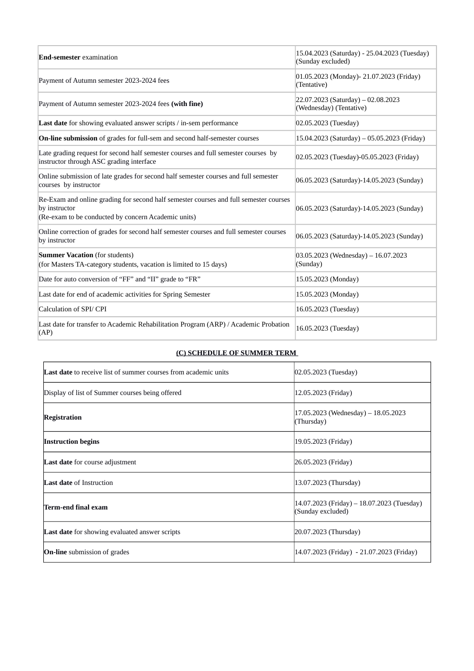| <b>End-semester</b> examination                                                                                                                               | 15.04.2023 (Saturday) - 25.04.2023 (Tuesday)<br>(Sunday excluded) |
|---------------------------------------------------------------------------------------------------------------------------------------------------------------|-------------------------------------------------------------------|
| Payment of Autumn semester 2023-2024 fees                                                                                                                     | 01.05.2023 (Monday) - 21.07.2023 (Friday)<br>(Tentative)          |
| Payment of Autumn semester 2023-2024 fees (with fine)                                                                                                         | $22.07.2023$ (Saturday) - 02.08.2023<br>(Wednesday) (Tentative)   |
| <b>Last date</b> for showing evaluated answer scripts / in-sem performance                                                                                    | 02.05.2023 (Tuesday)                                              |
| On-line submission of grades for full-sem and second half-semester courses                                                                                    | 15.04.2023 (Saturday) - 05.05.2023 (Friday)                       |
| Late grading request for second half semester courses and full semester courses by<br>instructor through ASC grading interface                                | 02.05.2023 (Tuesday)-05.05.2023 (Friday)                          |
| Online submission of late grades for second half semester courses and full semester<br>courses by instructor                                                  | 06.05.2023 (Saturday)-14.05.2023 (Sunday)                         |
| Re-Exam and online grading for second half semester courses and full semester courses<br>by instructor<br>(Re-exam to be conducted by concern Academic units) | 06.05.2023 (Saturday)-14.05.2023 (Sunday)                         |
| Online correction of grades for second half semester courses and full semester courses<br>by instructor                                                       | 06.05.2023 (Saturday)-14.05.2023 (Sunday)                         |
| <b>Summer Vacation</b> (for students)<br>(for Masters TA-category students, vacation is limited to 15 days)                                                   | $03.05.2023$ (Wednesday) - 16.07.2023<br>(Sunday)                 |
| Date for auto conversion of "FF" and "II" grade to "FR"                                                                                                       | 15.05.2023 (Monday)                                               |
| Last date for end of academic activities for Spring Semester                                                                                                  | 15.05.2023 (Monday)                                               |
| Calculation of SPI/ CPI                                                                                                                                       | 16.05.2023 (Tuesday)                                              |
| Last date for transfer to Academic Rehabilitation Program (ARP) / Academic Probation<br>(AP)                                                                  | 16.05.2023 (Tuesday)                                              |

## **(C) SCHEDULE OF SUMMER TERM**

| <b>Last date</b> to receive list of summer courses from academic units | 02.05.2023 (Tuesday)                                            |
|------------------------------------------------------------------------|-----------------------------------------------------------------|
| Display of list of Summer courses being offered                        | 12.05.2023 (Friday)                                             |
| <b>Registration</b>                                                    | 17.05.2023 (Wednesday) – 18.05.2023<br>(Thursday)               |
| <b>Instruction begins</b>                                              | [19.05.2023 (Friday)                                            |
| <b>Last date</b> for course adjustment                                 | [26.05.2023 (Friday)                                            |
| <b>Last date of Instruction</b>                                        | (13.07.2023 (Thursday)                                          |
| Term-end final exam                                                    | 14.07.2023 (Friday) – 18.07.2023 (Tuesday)<br>(Sunday excluded) |
| <b>Last date</b> for showing evaluated answer scripts                  | 20.07.2023 (Thursday)                                           |
| <b>On-line</b> submission of grades                                    | [14.07.2023 (Friday) - 21.07.2023 (Friday)                      |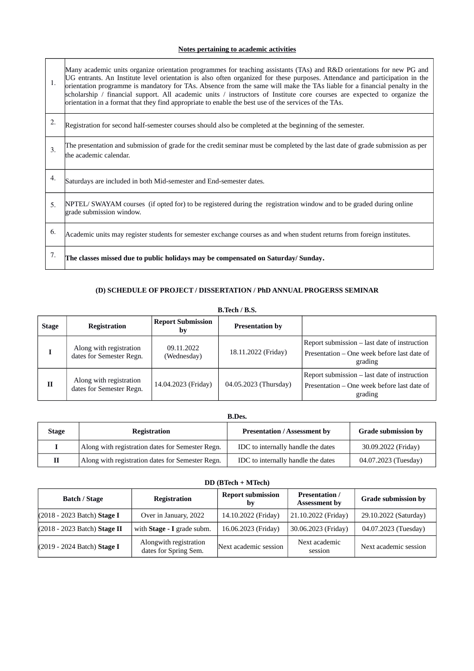## **Notes pertaining to academic activities**

 $\overline{\phantom{a}}$ 

| 1. | Many academic units organize orientation programmes for teaching assistants (TAs) and R&D orientations for new PG and<br>UG entrants. An Institute level orientation is also often organized for these purposes. Attendance and participation in the<br>orientation programme is mandatory for TAs. Absence from the same will make the TAs liable for a financial penalty in the<br>scholarship / financial support. All academic units / instructors of Institute core courses are expected to organize the<br>orientation in a format that they find appropriate to enable the best use of the services of the TAs. |
|----|------------------------------------------------------------------------------------------------------------------------------------------------------------------------------------------------------------------------------------------------------------------------------------------------------------------------------------------------------------------------------------------------------------------------------------------------------------------------------------------------------------------------------------------------------------------------------------------------------------------------|
| 2. | Registration for second half-semester courses should also be completed at the beginning of the semester.                                                                                                                                                                                                                                                                                                                                                                                                                                                                                                               |
| 3. | The presentation and submission of grade for the credit seminar must be completed by the last date of grade submission as per<br>the academic calendar.                                                                                                                                                                                                                                                                                                                                                                                                                                                                |
| 4. | Saturdays are included in both Mid-semester and End-semester dates.                                                                                                                                                                                                                                                                                                                                                                                                                                                                                                                                                    |
| 5. | NPTEL/SWAYAM courses (if opted for) to be registered during the registration window and to be graded during online<br>grade submission window.                                                                                                                                                                                                                                                                                                                                                                                                                                                                         |
| 6. | Academic units may register students for semester exchange courses as and when student returns from foreign institutes.                                                                                                                                                                                                                                                                                                                                                                                                                                                                                                |
| 7. | The classes missed due to public holidays may be compensated on Saturday/Sunday.                                                                                                                                                                                                                                                                                                                                                                                                                                                                                                                                       |

## **(D) SCHEDULE OF PROJECT / DISSERTATION / PhD ANNUAL PROGERSS SEMINAR**

**B.Tech / B.S.**

| <b>Stage</b> | <b>Registration</b>                                 | <b>Report Submission</b><br>bv | <b>Presentation by</b> |                                                                                                        |
|--------------|-----------------------------------------------------|--------------------------------|------------------------|--------------------------------------------------------------------------------------------------------|
|              | Along with registration<br>dates for Semester Regn. | 09.11.2022<br>(Wednesday)      | 18.11.2022 (Friday)    | Report submission – last date of instruction<br>Presentation – One week before last date of<br>grading |
| $\mathbf{H}$ | Along with registration<br>dates for Semester Regn. | 14.04.2023 (Friday)            | 04.05.2023 (Thursday)  | Report submission – last date of instruction<br>Presentation – One week before last date of<br>grading |

### **B.Des.**

| <b>Stage</b> | Registration                                     | <b>Presentation / Assessment by</b> | <b>Grade submission by</b> |
|--------------|--------------------------------------------------|-------------------------------------|----------------------------|
|              | Along with registration dates for Semester Regn. | IDC to internally handle the dates  | 30.09.2022 (Friday)        |
| Н            | Along with registration dates for Semester Regn. | IDC to internally handle the dates  | 04.07.2023 (Tuesday)       |

#### **DD (BTech + MTech)**

| <b>Batch / Stage</b>         | Registration                                    | <b>Report submission</b><br>by | <b>Presentation</b> /<br><b>Assessment by</b> | <b>Grade submission by</b> |
|------------------------------|-------------------------------------------------|--------------------------------|-----------------------------------------------|----------------------------|
| (2018 - 2023 Batch) Stage I  | Over in January, 2022                           | 14.10.2022 (Friday)            | 21.10.2022 (Friday)                           | 29.10.2022 (Saturday)      |
| (2018 - 2023 Batch) Stage II | with Stage - I grade subm.                      | 16.06.2023 (Friday)            | 30.06.2023 (Friday)                           | 04.07.2023 (Tuesday)       |
| (2019 - 2024 Batch) Stage I  | Alongwith registration<br>dates for Spring Sem. | Next academic session          | Next academic<br>session                      | Next academic session      |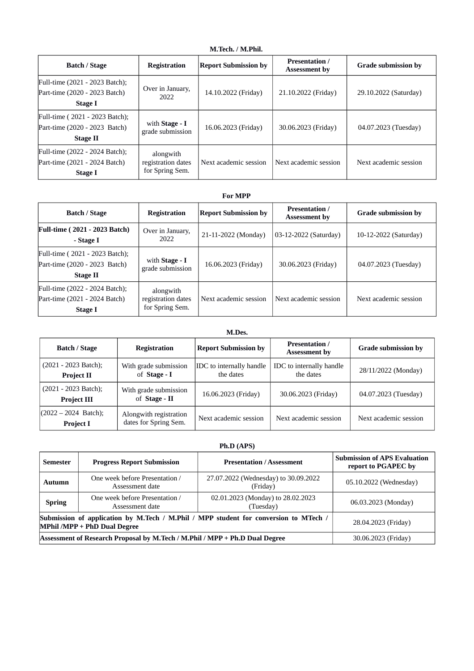| M.Tech. / M.Phil.                                                                  |                                                    |                             |                                               |                            |  |
|------------------------------------------------------------------------------------|----------------------------------------------------|-----------------------------|-----------------------------------------------|----------------------------|--|
| <b>Batch / Stage</b>                                                               | <b>Registration</b>                                | <b>Report Submission by</b> | <b>Presentation</b> /<br><b>Assessment by</b> | <b>Grade submission by</b> |  |
| Full-time (2021 - 2023 Batch);<br>Part-time (2020 - 2023 Batch)<br>Stage I         | Over in January,<br>2022                           | 14.10.2022 (Friday)         | 21.10.2022 (Friday)                           | 29.10.2022 (Saturday)      |  |
| Full-time (2021 - 2023 Batch);<br>Part-time (2020 - 2023 Batch)<br><b>Stage II</b> | with Stage - I<br>grade submission                 | 16.06.2023 (Friday)         | 30.06.2023 (Friday)                           | 04.07.2023 (Tuesday)       |  |
| Full-time (2022 - 2024 Batch);<br>Part-time (2021 - 2024 Batch)<br><b>Stage I</b>  | alongwith<br>registration dates<br>for Spring Sem. | Next academic session       | Next academic session                         | Next academic session      |  |

#### **For MPP**

| <b>Batch / Stage</b>                                                        | <b>Registration</b>                                | <b>Report Submission by</b> | <b>Presentation</b> /<br><b>Assessment by</b> | <b>Grade submission by</b> |
|-----------------------------------------------------------------------------|----------------------------------------------------|-----------------------------|-----------------------------------------------|----------------------------|
| <b>Full-time (2021 - 2023 Batch)</b><br>- Stage I                           | Over in January,<br>2022                           | 21-11-2022 (Monday)         | 03-12-2022 (Saturday)                         | 10-12-2022 (Saturday)      |
| Full-time (2021 - 2023 Batch);<br>Part-time (2020 - 2023 Batch)<br>Stage II | with Stage - I<br>grade submission                 | 16.06.2023 (Friday)         | 30.06.2023 (Friday)                           | 04.07.2023 (Tuesday)       |
| Full-time (2022 - 2024 Batch);<br>Part-time (2021 - 2024 Batch)<br>Stage I  | alongwith<br>registration dates<br>for Spring Sem. | Next academic session       | Next academic session                         | Next academic session      |

#### **M.Des.**

| <b>Batch / Stage</b>                       | <b>Registration</b>                             | <b>Report Submission by</b>                  | <b>Presentation</b> /<br><b>Assessment by</b> | <b>Grade submission by</b> |  |
|--------------------------------------------|-------------------------------------------------|----------------------------------------------|-----------------------------------------------|----------------------------|--|
| (2021 - 2023 Batch);<br><b>Project II</b>  | With grade submission<br>of Stage - I           | <b>IDC</b> to internally handle<br>the dates | IDC to internally handle<br>the dates         | 28/11/2022 (Monday)        |  |
| (2021 - 2023 Batch);<br><b>Project III</b> | With grade submission<br>of Stage - II          | 16.06.2023 (Friday)                          | 30.06.2023 (Friday)                           | 04.07.2023 (Tuesday)       |  |
| $(2022 - 2024$ Batch);<br><b>Project I</b> | Alongwith registration<br>dates for Spring Sem. | Next academic session                        | Next academic session                         | Next academic session      |  |

## **Ph.D (APS)**

| <b>Semester</b> | <b>Progress Report Submission</b>                                                                                    | <b>Presentation / Assessment</b>                 | <b>Submission of APS Evaluation</b><br>report to PGAPEC by |
|-----------------|----------------------------------------------------------------------------------------------------------------------|--------------------------------------------------|------------------------------------------------------------|
| <b>Autumn</b>   | One week before Presentation /<br>Assessment date                                                                    | 27.07.2022 (Wednesday) to 30.09.2022<br>(Friday) | 05.10.2022 (Wednesday)                                     |
| <b>Spring</b>   | One week before Presentation /<br>Assessment date                                                                    | 02.01.2023 (Monday) to 28.02.2023<br>(Tuesday)   | 06.03.2023 (Monday)                                        |
|                 | Submission of application by M.Tech / M.Phil / MPP student for conversion to MTech /<br>MPhil /MPP + PhD Dual Degree | 28.04.2023 (Friday)                              |                                                            |
|                 | Assessment of Research Proposal by M.Tech / M.Phil / MPP + Ph.D Dual Degree                                          | 30.06.2023 (Friday)                              |                                                            |